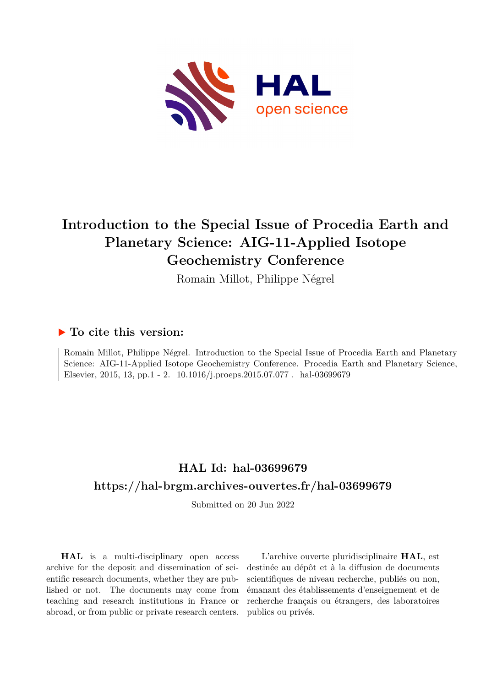

# **Introduction to the Special Issue of Procedia Earth and Planetary Science: AIG-11-Applied Isotope Geochemistry Conference**

Romain Millot, Philippe Négrel

### **To cite this version:**

Romain Millot, Philippe Négrel. Introduction to the Special Issue of Procedia Earth and Planetary Science: AIG-11-Applied Isotope Geochemistry Conference. Procedia Earth and Planetary Science, Elsevier, 2015, 13, pp.1 - 2.  $10.1016/j.proeps.2015.07.077$ . hal-03699679

### **HAL Id: hal-03699679 <https://hal-brgm.archives-ouvertes.fr/hal-03699679>**

Submitted on 20 Jun 2022

**HAL** is a multi-disciplinary open access archive for the deposit and dissemination of scientific research documents, whether they are published or not. The documents may come from teaching and research institutions in France or abroad, or from public or private research centers.

L'archive ouverte pluridisciplinaire **HAL**, est destinée au dépôt et à la diffusion de documents scientifiques de niveau recherche, publiés ou non, émanant des établissements d'enseignement et de recherche français ou étrangers, des laboratoires publics ou privés.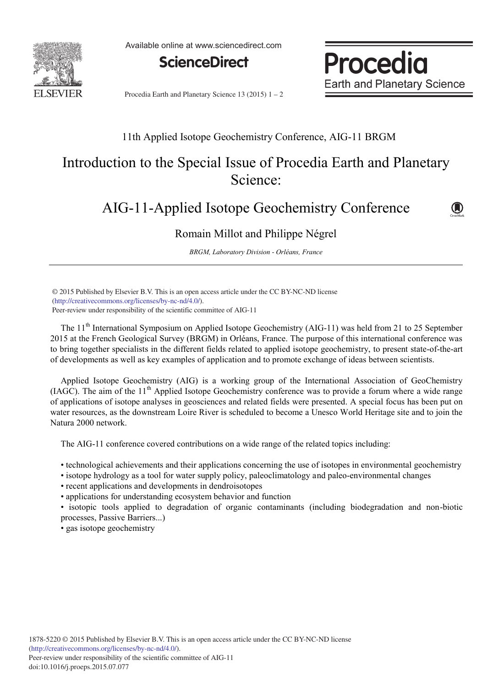

Available online at www.sciencedirect.com



**Procedia Earth and Planetary Science** 

Procedia Earth and Planetary Science 13 (2015)  $1 - 2$ 

#### 11th Applied Isotope Geochemistry Conference, AIG-11 BRGM

## Introduction to the Special Issue of Procedia Earth and Planetary Science:

### AIG-11-Applied Isotope Geochemistry Conference



Romain Millot and Philippe Négrel

*BRGM, Laboratory Division - Orléans, France*

(http://creativecommons.org/licenses/by-nc-nd/4.0/). Peer-review under responsibility of the scientific committee of AIG-11. © 2015 Published by Elsevier B.V. This is an open access article under the CC BY-NC-ND license

The 11<sup>th</sup> International Symposium on Applied Isotope Geochemistry (AIG-11) was held from 21 to 25 September 2015 at the French Geological Survey (BRGM) in Orléans, France. The purpose of this international conference was to bring together specialists in the different fields related to applied isotope geochemistry, to present state-of-the-art of developments as well as key examples of application and to promote exchange of ideas between scientists.

Applied Isotope Geochemistry (AIG) is a working group of the International Association of GeoChemistry (IAGC). The aim of the 11th Applied Isotope Geochemistry conference was to provide a forum where a wide range of applications of isotope analyses in geosciences and related fields were presented. A special focus has been put on water resources, as the downstream Loire River is scheduled to become a Unesco World Heritage site and to join the Natura 2000 network.

The AIG-11 conference covered contributions on a wide range of the related topics including:

• technological achievements and their applications concerning the use of isotopes in environmental geochemistry

- isotope hydrology as a tool for water supply policy, paleoclimatology and paleo-environmental changes
- recent applications and developments in dendroisotopes

• applications for understanding ecosystem behavior and function

• isotopic tools applied to degradation of organic contaminants (including biodegradation and non-biotic processes, Passive Barriers...)

• gas isotope geochemistry